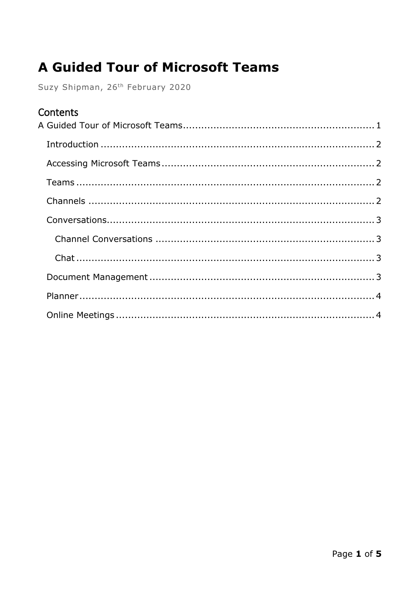# <span id="page-0-0"></span>**A Guided Tour of Microsoft Teams**

Suzy Shipman, 26th February 2020

#### Contents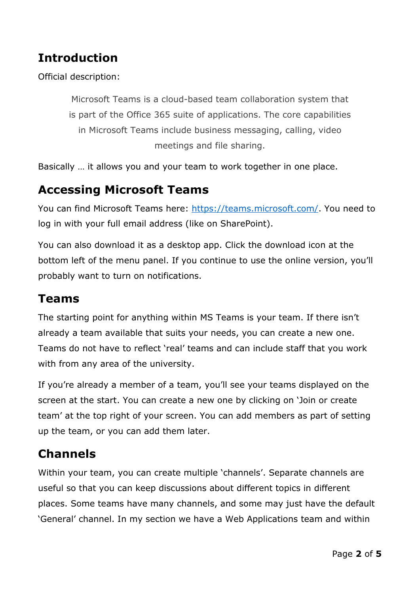# <span id="page-1-0"></span>**Introduction**

Official description:

Microsoft Teams is a cloud-based team collaboration system that is part of the Office 365 suite of applications. The core capabilities in Microsoft Teams include business messaging, calling, video meetings and file sharing.

Basically … it allows you and your team to work together in one place.

## <span id="page-1-1"></span>**Accessing Microsoft Teams**

You can find Microsoft Teams here: [https://teams.microsoft.com/.](https://teams.microsoft.com/) You need to log in with your full email address (like on SharePoint).

You can also download it as a desktop app. Click the download icon at the bottom left of the menu panel. If you continue to use the online version, you'll probably want to turn on notifications.

#### <span id="page-1-2"></span>**Teams**

The starting point for anything within MS Teams is your team. If there isn't already a team available that suits your needs, you can create a new one. Teams do not have to reflect 'real' teams and can include staff that you work with from any area of the university.

If you're already a member of a team, you'll see your teams displayed on the screen at the start. You can create a new one by clicking on 'Join or create team' at the top right of your screen. You can add members as part of setting up the team, or you can add them later.

## <span id="page-1-3"></span>**Channels**

Within your team, you can create multiple 'channels'. Separate channels are useful so that you can keep discussions about different topics in different places. Some teams have many channels, and some may just have the default 'General' channel. In my section we have a Web Applications team and within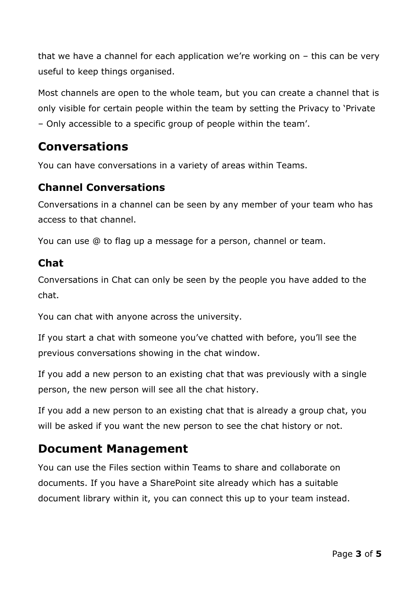that we have a channel for each application we're working on – this can be very useful to keep things organised.

Most channels are open to the whole team, but you can create a channel that is only visible for certain people within the team by setting the Privacy to 'Private – Only accessible to a specific group of people within the team'.

## <span id="page-2-0"></span>**Conversations**

You can have conversations in a variety of areas within Teams.

#### <span id="page-2-1"></span>**Channel Conversations**

Conversations in a channel can be seen by any member of your team who has access to that channel.

You can use @ to flag up a message for a person, channel or team.

#### <span id="page-2-2"></span>**Chat**

Conversations in Chat can only be seen by the people you have added to the chat.

You can chat with anyone across the university.

If you start a chat with someone you've chatted with before, you'll see the previous conversations showing in the chat window.

If you add a new person to an existing chat that was previously with a single person, the new person will see all the chat history.

If you add a new person to an existing chat that is already a group chat, you will be asked if you want the new person to see the chat history or not.

# <span id="page-2-3"></span>**Document Management**

You can use the Files section within Teams to share and collaborate on documents. If you have a SharePoint site already which has a suitable document library within it, you can connect this up to your team instead.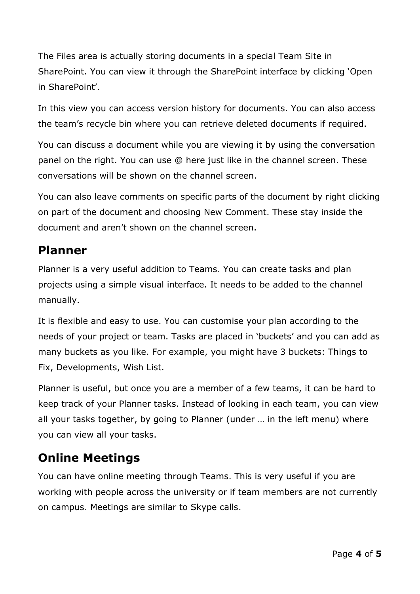The Files area is actually storing documents in a special Team Site in SharePoint. You can view it through the SharePoint interface by clicking 'Open in SharePoint'.

In this view you can access version history for documents. You can also access the team's recycle bin where you can retrieve deleted documents if required.

You can discuss a document while you are viewing it by using the conversation panel on the right. You can use @ here just like in the channel screen. These conversations will be shown on the channel screen.

You can also leave comments on specific parts of the document by right clicking on part of the document and choosing New Comment. These stay inside the document and aren't shown on the channel screen.

### <span id="page-3-0"></span>**Planner**

Planner is a very useful addition to Teams. You can create tasks and plan projects using a simple visual interface. It needs to be added to the channel manually.

It is flexible and easy to use. You can customise your plan according to the needs of your project or team. Tasks are placed in 'buckets' and you can add as many buckets as you like. For example, you might have 3 buckets: Things to Fix, Developments, Wish List.

Planner is useful, but once you are a member of a few teams, it can be hard to keep track of your Planner tasks. Instead of looking in each team, you can view all your tasks together, by going to Planner (under … in the left menu) where you can view all your tasks.

# <span id="page-3-1"></span>**Online Meetings**

You can have online meeting through Teams. This is very useful if you are working with people across the university or if team members are not currently on campus. Meetings are similar to Skype calls.